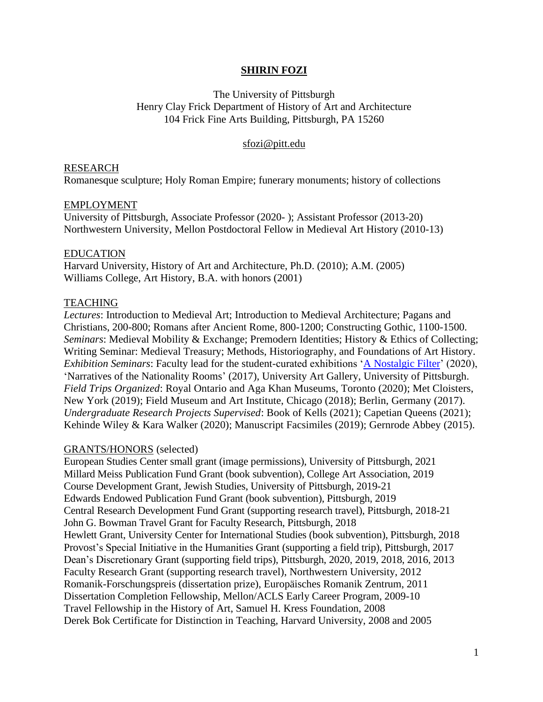# **SHIRIN FOZI**

The University of Pittsburgh Henry Clay Frick Department of History of Art and Architecture 104 Frick Fine Arts Building, Pittsburgh, PA 15260

## [sfozi@pitt.edu](mailto:sfozi@pitt.edu)

## RESEARCH

Romanesque sculpture; Holy Roman Empire; funerary monuments; history of collections

## EMPLOYMENT

University of Pittsburgh, Associate Professor (2020- ); Assistant Professor (2013-20) Northwestern University, Mellon Postdoctoral Fellow in Medieval Art History (2010-13)

## EDUCATION

Harvard University, History of Art and Architecture, Ph.D. (2010); A.M. (2005) Williams College, Art History, B.A. with honors (2001)

## TEACHING

*Lectures*: Introduction to Medieval Art; Introduction to Medieval Architecture; Pagans and Christians, 200-800; Romans after Ancient Rome, 800-1200; Constructing Gothic, 1100-1500. *Seminars*: Medieval Mobility & Exchange; Premodern Identities; History & Ethics of Collecting; Writing Seminar: Medieval Treasury; Methods, Historiography, and Foundations of Art History. *Exhibition Seminars*: Faculty lead for the student-curated exhibitions ['A Nostalgic Filter'](https://scalar.usc.edu/works/a-nostalgic-filter/) (2020), 'Narratives of the Nationality Rooms' (2017), University Art Gallery, University of Pittsburgh. *Field Trips Organized*: Royal Ontario and Aga Khan Museums, Toronto (2020); Met Cloisters, New York (2019); Field Museum and Art Institute, Chicago (2018); Berlin, Germany (2017). *Undergraduate Research Projects Supervised*: Book of Kells (2021); Capetian Queens (2021); Kehinde Wiley & Kara Walker (2020); Manuscript Facsimiles (2019); Gernrode Abbey (2015).

### GRANTS/HONORS (selected)

European Studies Center small grant (image permissions), University of Pittsburgh, 2021 Millard Meiss Publication Fund Grant (book subvention), College Art Association, 2019 Course Development Grant, Jewish Studies, University of Pittsburgh, 2019-21 Edwards Endowed Publication Fund Grant (book subvention), Pittsburgh, 2019 Central Research Development Fund Grant (supporting research travel), Pittsburgh, 2018-21 John G. Bowman Travel Grant for Faculty Research, Pittsburgh, 2018 Hewlett Grant, University Center for International Studies (book subvention), Pittsburgh, 2018 Provost's Special Initiative in the Humanities Grant (supporting a field trip), Pittsburgh, 2017 Dean's Discretionary Grant (supporting field trips), Pittsburgh, 2020, 2019, 2018, 2016, 2013 Faculty Research Grant (supporting research travel), Northwestern University, 2012 Romanik-Forschungspreis (dissertation prize), Europäisches Romanik Zentrum, 2011 Dissertation Completion Fellowship, Mellon/ACLS Early Career Program, 2009-10 Travel Fellowship in the History of Art, Samuel H. Kress Foundation, 2008 Derek Bok Certificate for Distinction in Teaching, Harvard University, 2008 and 2005